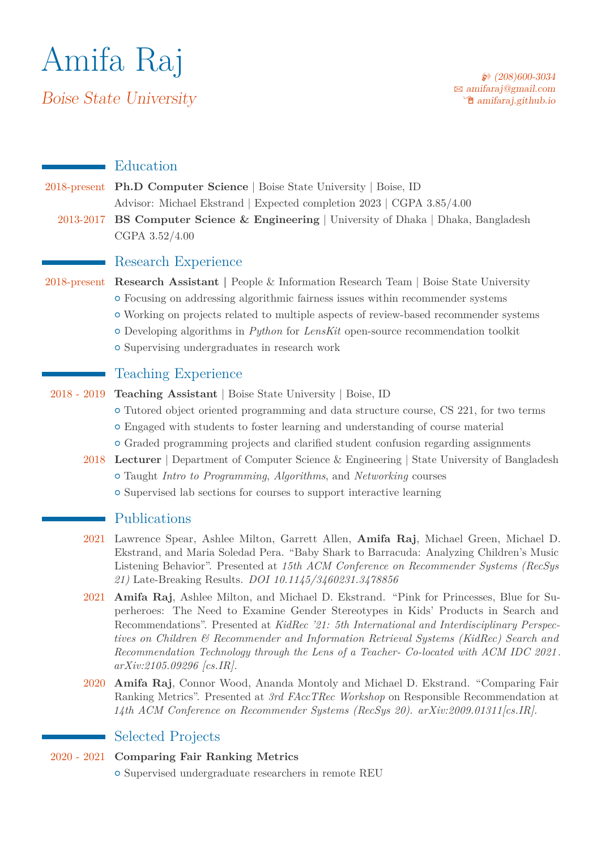# Amifa Raj

Boise State University

H (208)600-3034  $\boxtimes$  [amifaraj@gmail.com](mailto:amifaraj@gmail.com)  $\hat{\mathbb{E}}$  [amifaraj.github.io](http://amifaraj.github.io)

# Education

2018-present **[Ph.D Computer Science](https://www.boisestate.edu/computing/)** | [Boise State University](https://www.boisestate.edu/) | Boise, ID Advisor: [Michael Ekstrand](https://md.ekstrandom.net/) | Expected completion 2023 | CGPA 3.85/4.00

2013-2017 **[BS Computer Science & Engineering](http://www.cse.du.ac.bd/)** | [University of Dhaka](https://www.du.ac.bd/) | Dhaka, Bangladesh CGPA 3.52/4.00

## Research Experience

#### 2018-present **Research Assistant |** [People & Information Research Team | Boise State University](http://piret.info/)

- { Focusing on addressing algorithmic fairness issues within recommender systems
- { Working on projects related to multiple aspects of review-based recommender systems
- { Developing algorithms in *Python* for *[LensKit](https://lenskit.org/)* open-source recommendation toolkit
- { Supervising undergraduates in research work

# Teaching Experience

- 2018 2019 **Teaching Assistant** | Boise State University | Boise, ID
	- { Tutored object oriented programming and data structure course, [CS 221,](https://www.boisestate.edu/registrar-catalog/course-catalog/cs/) for two terms
	- { Engaged with students to foster learning and understanding of course material
	- { Graded programming projects and clarified student confusion regarding assignments
	- 2018 **Lecturer** | [Department of Computer Science & Engineering](http://www.sub.edu.bd/?department=computer-science-and-engineering) | [State University of Bangladesh](http://www.sub.edu.bd/)
		- { Taught *Intro to Programming*, *Algorithms*, and *Networking* courses
		- { Supervised lab sections for courses to support interactive learning

## Publications

- 2021 Lawrence Spear, Ashlee Milton, Garrett Allen, **Amifa Raj**, Michael Green, Michael D. Ekstrand, and Maria Soledad Pera. "Baby Shark to Barracuda: Analyzing Children's Music Listening Behavior". Presented at *15th ACM Conference on Recommender Systems (RecSys 21)* Late-Breaking Results. *[DOI 10.1145/3460231.3478856](https://dl.acm.org/doi/10.1145/3460231.3478856)*
- 2021 **Amifa Raj**, Ashlee Milton, and Michael D. Ekstrand. "Pink for Princesses, Blue for Superheroes: The Need to Examine Gender Stereotypes in Kids' Products in Search and Recommendations". Presented at *[KidRec '21: 5th International and Interdisciplinary Perspec](https://kidrec.github.io/)[tives on Children & Recommender and Information Retrieval Systems \(KidRec\) Search and](https://kidrec.github.io/) [Recommendation Technology through the Lens of a Teacher- Co-located with ACM IDC 2021](https://kidrec.github.io/)* . *[arXiv:2105.09296 \[cs.IR\].](https://arxiv.org/abs/2105.09296)*
- 2020 **Amifa Raj**, Connor Wood, Ananda Montoly and Michael D. Ekstrand. "Comparing Fair Ranking Metrics". Presented at *[3rd FAccTRec Workshop](https://facctrec.github.io/facctrec2020/)* on Responsible Recommendation at *14th ACM Conference on Recommender Systems (RecSys 20)*. *[arXiv:2009.01311\[cs.IR\].](https://arxiv.org/abs/2009.01311)*

# Selected Projects

### 2020 - 2021 **Comparing Fair Ranking Metrics** { Supervised undergraduate researchers in remote REU